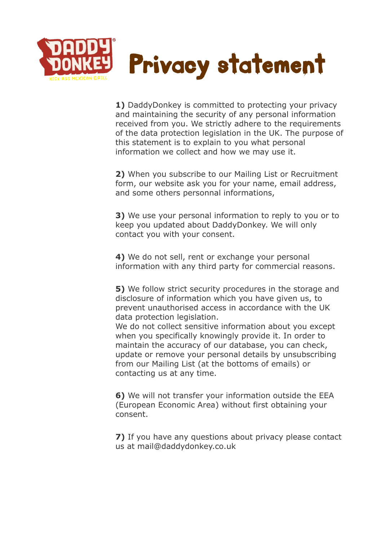

**1)** DaddyDonkey is committed to protecting your privacy and maintaining the security of any personal information received from you. We strictly adhere to the requirements of the data protection legislation in the UK. The purpose of this statement is to explain to you what personal information we collect and how we may use it.

**2)** When you subscribe to our Mailing List or Recruitment form, our website ask you for your name, email address, and some others personnal informations,

**3)** We use your personal information to reply to you or to keep you updated about DaddyDonkey. We will only contact you with your consent.

**4)** We do not sell, rent or exchange your personal information with any third party for commercial reasons.

**5)** We follow strict security procedures in the storage and disclosure of information which you have given us, to prevent unauthorised access in accordance with the UK data protection legislation.

We do not collect sensitive information about you except when you specifically knowingly provide it. In order to maintain the accuracy of our database, you can check, update or remove your personal details by unsubscribing from our Mailing List (at the bottoms of emails) or contacting us at any time.

**6)** We will not transfer your information outside the EEA (European Economic Area) without first obtaining your consent.

**7)** If you have any questions about privacy please contact us at mail@daddydonkey.co.uk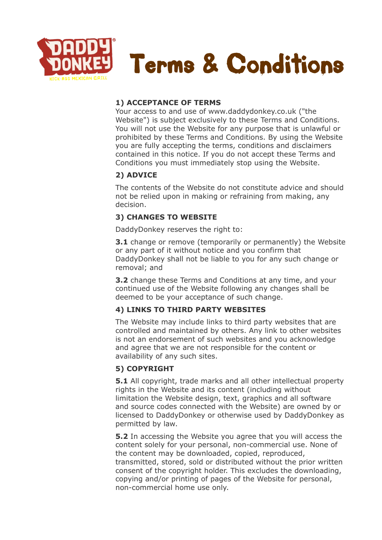

### **1) ACCEPTANCE OF TERMS**

Your access to and use of www.daddydonkey.co.uk ("the Website") is subject exclusively to these Terms and Conditions. You will not use the Website for any purpose that is unlawful or prohibited by these Terms and Conditions. By using the Website you are fully accepting the terms, conditions and disclaimers contained in this notice. If you do not accept these Terms and Conditions you must immediately stop using the Website.

# **2) ADVICE**

The contents of the Website do not constitute advice and should not be relied upon in making or refraining from making, any decision.

# **3) CHANGES TO WEBSITE**

DaddyDonkey reserves the right to:

**3.1** change or remove (temporarily or permanently) the Website or any part of it without notice and you confirm that DaddyDonkey shall not be liable to you for any such change or removal; and

**3.2** change these Terms and Conditions at any time, and your continued use of the Website following any changes shall be deemed to be your acceptance of such change.

# **4) LINKS TO THIRD PARTY WEBSITES**

The Website may include links to third party websites that are controlled and maintained by others. Any link to other websites is not an endorsement of such websites and you acknowledge and agree that we are not responsible for the content or availability of any such sites.

# **5) COPYRIGHT**

**5.1** All copyright, trade marks and all other intellectual property rights in the Website and its content (including without limitation the Website design, text, graphics and all software and source codes connected with the Website) are owned by or licensed to DaddyDonkey or otherwise used by DaddyDonkey as permitted by law.

**5.2** In accessing the Website you agree that you will access the content solely for your personal, non-commercial use. None of the content may be downloaded, copied, reproduced, transmitted, stored, sold or distributed without the prior written consent of the copyright holder. This excludes the downloading, copying and/or printing of pages of the Website for personal, non-commercial home use only.